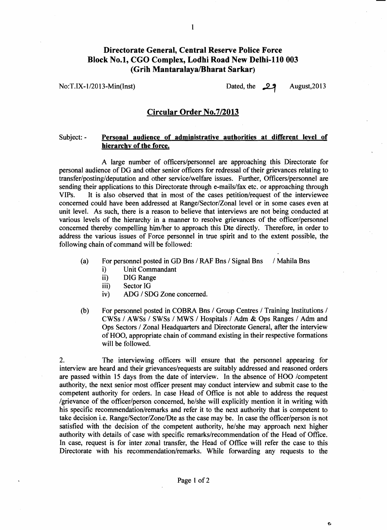## **Directorate General, Central Reserve Police Force Block No.1, CGO Complex, Lodhi Road New Delhi-110 003 (Grih Mantaralaya/Bharat Sarkar)**<br>No:T.IX-1/2013-Min(Inst) Dated, the **29** August,2013

c.

### **Circular Order No.712013**

### Subject: - **Personal audience of administrative authorities at different level of hierarchy of the force.**

A large number of officers/personnel are approaching this Directorate for personal audience of DG and other senior officers for redressal of their grievances relating to **transfer/posting/deputation** and other servicelwelfare issues. Further, Officerslpersonnel are sending their applications to this Directorate through e-mails/fax etc. or approaching through VIPs. It is also observed that in most of the cases petition/request of the interviewee concerned could have been addressed at Range/Sector/Zonal level or in some cases even at unit level. As such, there is a reason to believe that interviews are not being conducted at various levels of the hierarchy in a manner to resolve grievances of the officer/personnel concerned thereby compelling him/her to approach this Dte directly. Therefore, in order to address the various issues of Force personnel in true spirit and to the extent possible, the following chain of command will be followed:

- (a) For personnel posted in GD Bns / RAF Bns / Signal Bns / Mahila Bns i) Unit Commandant
	- Unit Commandant
	- ii) DIG Range
	- iii) Sector IG
	- iv) ADG / SDG Zone concerned.
- (b) For personnel posted in COBRA Bns / Group Centres / Training Institutions / CWSs / AWSs / SWSs / MWS / Hospitals / Adm & Ops Ranges / Adm and Ops Sectors 1 Zonal Headquarters and Directorate General, after the interview of HOO, appropriate chain of command existing in their respective formations will be followed.

2. The interviewing officers will ensure that the personnel appearing for interview are heard and their grievances/requests are suitably addressed and reasoned orders are passed within 15 days from the date of interview. In the absence of HOO /competent authority, the next senior most officer present may conduct interview and submit case to the competent authority for orders. In case Head of Office is not able to address the request /grievance of the officer/person concerned, he/she will explicitly mention it in writing with his specific recommendation/remarks and refer it to the next authority that is competent to take decision i.e. Range/Sector/Zone/Dte as the case may be. In case the officer/person is not satisfied with the decision of the competent authority, he/she may approach next higher authority with details of case with specific remarks/recommendation of the Head of Office. In case, request is for inter zonal transfer, the Head of Office will refer the case to this Directorate with his recommendation/remarks. While forwarding any requests to the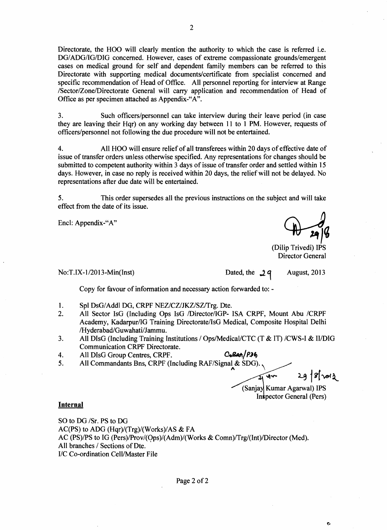Directorate, the HOO will clearly mention the authority to which the case is referred i.e. DG/ADG/IG/DIG concerned. However, cases of extreme compassionate grounds/emergent cases on medical ground for self and dependent family members can be referred to this Directorate with supporting medical documents/certificate from specialist concerned and specific recommendation of Head of Office. All personnel reporting for interview at Range /Sector/Zone/Directorate General will carry application and recommendation of Head of Office as per specimen attached as Appendix-"A".

**3.** Such officers/personnel can take interview during their leave period (in case they are leaving their Hqr) on any working day between 11 to 1 PM. However, requests of officers/personnel not following the due procedure will not be entertained.

**4.** All HOO will ensure relief of all transferees within 20 days of effective date of issue of transfer orders unless otherwise specified. Any representations for changes should be submitted to competent authority within 3 days of issue of transfer order and settled within 15 days. However, in case no reply is received within 20 days, the relief will not be delayed. No representations after due date will be entertained.

**5.** This order supersedes all the previous instructions on the subject and will take effect from the date of its issue.

Encl: Appendix-"A"

(Dilip Trivedi) IPS Director General

### No:T.IX-1/2013-Min(Inst) Dated, the 2q August, 2013

Copy for favour of information and necessary action forwarded to: -

- 1. Spl DsG/Addl DG, CRPF NEZ/CZ/JKZ/SZ/Trg. Dte.
- 2. All Sector IsG (Including Ops IsG /Director/IGP- ISA CRPF, Mount Abu /CRPF Academy, Kadarpur/IG Training Directorate/IsG Medical, Composite Hospital Delhi **/Hyderabad/Guwahati/Jammu.**
- 3. All DIsG (Including Training Institutions / Ops/Medical/CTC (T & IT) /CWS-I & II/DIG Communication CRPF Directorate.
- 

4. All DIsG Group Centres, CRPF. **C<sub>D</sub>Ress** (*P*) 6<br>5. All Commandants Bns, CRPF (Including RAF/Signal & SDG) All Commandants Bns, CRPF (Including RAF/Signal & SDG).

 $29 | 8 | 30 | 2$  $\mathbf{v}$ 

ç,

(Sanjay Kumar Agarwal) IPS Inspector General (Pers)

#### **Internal**

SO to DG /Sr. PS to DG AC(PS) to ADG (Hqr)/(Trg)/(Works)/AS & FA AC (PS)/PS to IG (Pers)/Prov/(Ops)/(Adm)/(Works & Comn)/Trg/(Int)/Director (Med). All branches / Sections of Dte. I/C Co-ordination Cell/Master File

Page 2 of 2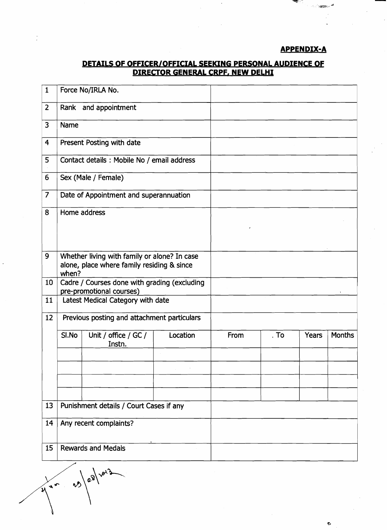### **APPENDIX-A**

# **DETAILS OF OFFICER/OFFICIAL SEEKING PERSONAL AUDIENCE OF<br>DIRECTOR GENERAL CRPF, NEW DELHI**

|   |                                                                                                      | <b>Contract</b> |                                |
|---|------------------------------------------------------------------------------------------------------|-----------------|--------------------------------|
|   |                                                                                                      |                 | ాను ప <del>్రభ</del> ామంలో స   |
|   |                                                                                                      |                 |                                |
|   |                                                                                                      |                 | <u>APPENDIX-A</u>              |
|   | <u>DETAILS OF OFFICER/OFFICIAL SEEKING PERSONAL AUDIENCE OF</u><br>DIRECTOR GENERAL CRPF, NEW DELHI  |                 |                                |
|   | 1   Force No/IRLA No.                                                                                |                 |                                |
|   | $\vert 2 \vert$ Rank and appointment                                                                 |                 |                                |
|   | $\sqrt{3}$ Name<br>4 Present Posting with date                                                       |                 |                                |
| 5 | Contact details : Mobile No / email address                                                          |                 |                                |
|   | 6   Sex (Male / Female)                                                                              |                 |                                |
|   | 7 Date of Appointment and superannuation                                                             |                 |                                |
|   |                                                                                                      |                 |                                |
|   | 8 Home address                                                                                       |                 |                                |
|   |                                                                                                      |                 |                                |
|   | 9 Whether living with family or alone? In case<br>alone, place where family residing $\bm{\&}$ since |                 |                                |
|   | when?<br>10 Cadre / Courses done with grading (excluding<br>pre-promotional courses)                 |                 |                                |
|   | 11 Latest Medical Category with date                                                                 |                 |                                |
|   | 12 Previous posting and attachment particulars                                                       |                 |                                |
|   | SI.No Unit / office / GC /<br>Location<br>Instn.                                                     | From            | Years   Months<br>$\cdot$ . To |
|   |                                                                                                      |                 |                                |
|   |                                                                                                      |                 |                                |
|   | 13 Punishment details / Court Cases if any                                                           |                 |                                |
|   | 14 Any recent complaints?                                                                            |                 |                                |
|   | 15 Rewards and Medals                                                                                |                 |                                |

પ્

 $\hat{\mathbf{C}}$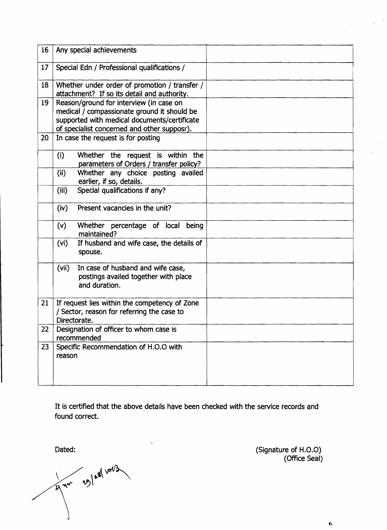| 16 | Any special achievements                                                                                                                                                              |  |
|----|---------------------------------------------------------------------------------------------------------------------------------------------------------------------------------------|--|
| 17 | Special Edn / Professional qualifications /                                                                                                                                           |  |
| 18 | Whether under order of promotion / transfer /<br>attachment? If so its detail and authority.                                                                                          |  |
| 19 | Reason/ground for interview (in case on<br>medical / compassionate ground it should be<br>supported with medical documents/certificate<br>of specialist concerned and other supposr). |  |
| 20 | In case the request is for posting                                                                                                                                                    |  |
|    | (i)<br>Whether the request is within the<br>parameters of Orders / transfer policy?                                                                                                   |  |
|    | Whether any choice posting availed<br>(ii)<br>earlier, if so, details.                                                                                                                |  |
|    | (iii)<br>Special qualifications if any?                                                                                                                                               |  |
|    | Present vacancies in the unit?<br>(iv)                                                                                                                                                |  |
|    | (v)<br>Whether percentage of local<br>being<br>maintained?                                                                                                                            |  |
|    | (vi)<br>If husband and wife case, the details of<br>spouse.                                                                                                                           |  |
|    | (vii)<br>In case of husband and wife case,<br>postings availed together with place<br>and duration.                                                                                   |  |
| 21 | If request lies within the competency of Zone<br>/ Sector, reason for referring the case to<br>Directorate.                                                                           |  |
| 22 | Designation of officer to whom case is<br>recommended                                                                                                                                 |  |
| 23 | Specific Recommendation of H.O.O with<br>reason                                                                                                                                       |  |

It is certified that the above details have been checked with the service records and found correct.

Dated:

2) 11 19 / 19 / 10/3

(Signature of H.O.0) (Office Seal)

Ģ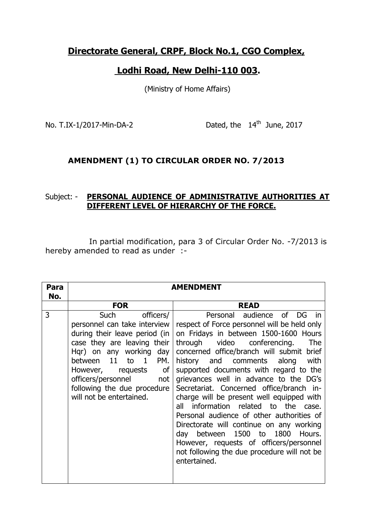## **Directorate General, CRPF, Block No.1, CGO Complex,**

## **Lodhi Road, New Delhi-110 003.**

(Ministry of Home Affairs)

No. T.IX-1/2017-Min-DA-2

Dated, the 14<sup>th</sup> June, 2017

### **AMENDMENT (1) TO CIRCULAR ORDER NO. 7/2013**

### Subject: - **PERSONAL AUDIENCE OF ADMINISTRATIVE AUTHORITIES AT DIFFERENT LEVEL OF HIERARCHY OF THE FORCE.**

 In partial modification, para 3 of Circular Order No. -7/2013 is hereby amended to read as under :-

|                                                                                                                                                                                                                                                                                                                                                                                                                                                                                                                                                                                                                                                                                                                                                                                                                                                                                                                                                                                                                    | <b>AMENDMENT</b> |  |  |  |  |
|--------------------------------------------------------------------------------------------------------------------------------------------------------------------------------------------------------------------------------------------------------------------------------------------------------------------------------------------------------------------------------------------------------------------------------------------------------------------------------------------------------------------------------------------------------------------------------------------------------------------------------------------------------------------------------------------------------------------------------------------------------------------------------------------------------------------------------------------------------------------------------------------------------------------------------------------------------------------------------------------------------------------|------------------|--|--|--|--|
| No.<br><b>FOR</b><br><b>READ</b>                                                                                                                                                                                                                                                                                                                                                                                                                                                                                                                                                                                                                                                                                                                                                                                                                                                                                                                                                                                   |                  |  |  |  |  |
| 3<br>Such<br>officers/<br>Personal audience of DG in<br>respect of Force personnel will be held only<br>personnel can take interview<br>on Fridays in between 1500-1600 Hours<br>during their leave period (in $ $<br>case they are leaving their<br>through video conferencing.<br>concerned office/branch will submit brief<br>Hqr) on any working day<br>between 11 to<br>$\mathbf{1}$<br>history and comments along<br>PM.<br>However, requests of<br>supported documents with regard to the<br>grievances well in advance to the DG's<br>officers/personnel<br>not<br>following the due procedure<br>Secretariat. Concerned office/branch in-<br>will not be entertained.<br>charge will be present well equipped with<br>information related to the case.<br>all<br>Personal audience of other authorities of<br>Directorate will continue on any working<br>1500 to 1800 Hours.<br>between<br>day<br>However, requests of officers/personnel<br>not following the due procedure will not be<br>entertained. | The<br>with      |  |  |  |  |